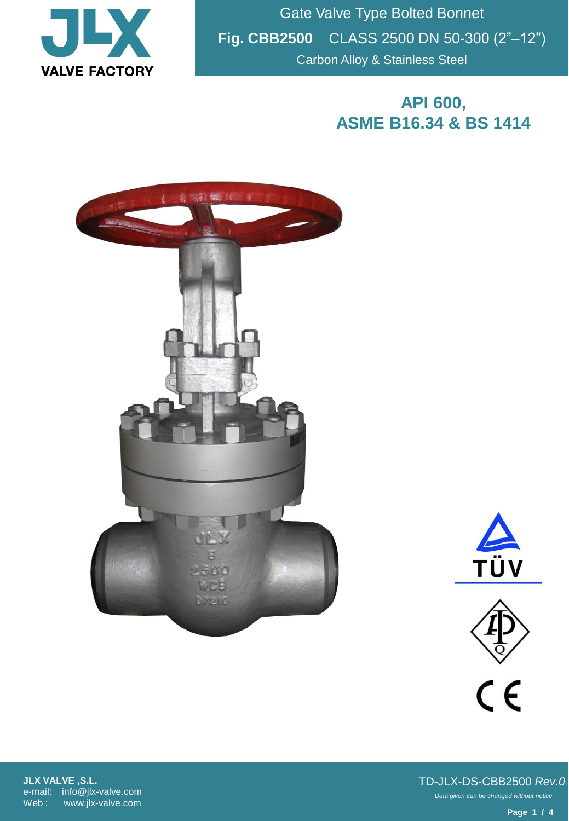

Gate Valve Type Bolted Bonnet **Fig. CBB2500** CLASS 2500 DN 50-300 (2"–12") Carbon Alloy & Stainless Steel

## **API 600, ASME B16.34 & BS 1414**







**JLX VALVE ,S.L.** e-mail: info@jlx-valve.com Web : www.jlx-valve.com

*Data given can be changed without notice.* TD-JLX-DS-CBB2500 *Rev.0*

**Page 1 / 4**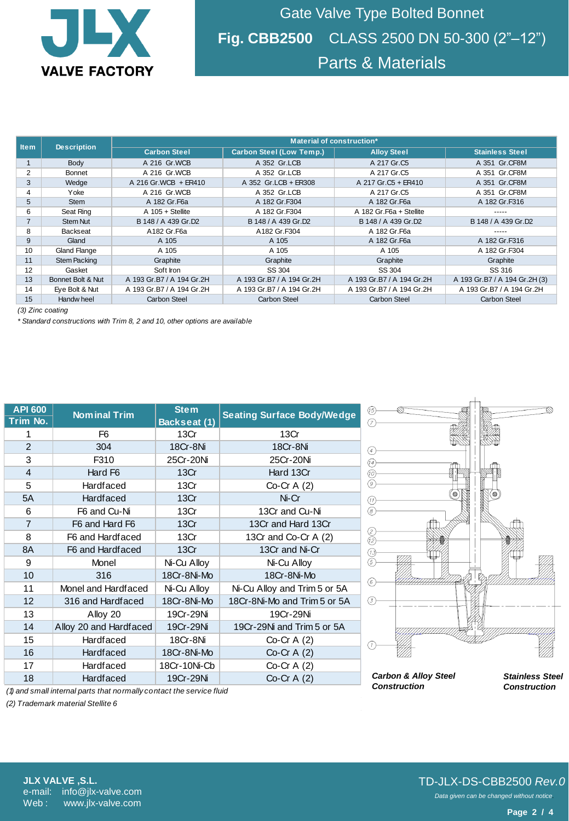

Gate Valve Type Bolted Bonnet **Fig. CBB2500** CLASS 2500 DN 50-300 (2"–12") Parts & Materials

|                  | <b>Description</b>  | Material of construction* |                                 |                           |                               |  |  |  |
|------------------|---------------------|---------------------------|---------------------------------|---------------------------|-------------------------------|--|--|--|
| <b>Item</b>      |                     | <b>Carbon Steel</b>       | <b>Carbon Steel (Low Temp.)</b> | <b>Alloy Steel</b>        | <b>Stainless Steel</b>        |  |  |  |
|                  | Body                | A 216 Gr.WCB              | A 352 Gr.LCB                    | A 217 Gr.C5               | A 351 Gr.CF8M                 |  |  |  |
| $\overline{2}$   | Bonnet              | A 216 Gr.WCB              | A 352 Gr.LCB                    | A 217 Gr.C5               | A 351 Gr.CF8M                 |  |  |  |
| 3                | Wedge               | A 216 Gr.WCB + ER410      | A 352 Gr.LCB + ER308            | A 217 Gr.C5 + ER410       | A 351 Gr.CF8M                 |  |  |  |
| 4                | Yoke                | A 216 Gr.WCB              | A 352 Gr.LCB                    | A 217 Gr.C5               | A 351 Gr.CF8M                 |  |  |  |
| 5                | <b>Stem</b>         | A 182 Gr. F6a             | A 182 Gr.F304                   | A 182 Gr. F6a             | A 182 Gr.F316                 |  |  |  |
| 6                | Seat Ring           | A 105 + Stellite          | A 182 Gr.F304                   | A 182 Gr. F6a + Stellite  |                               |  |  |  |
| $\overline{7}$   | <b>Stem Nut</b>     | B 148 / A 439 Gr.D2       | B 148 / A 439 Gr.D2             | B 148 / A 439 Gr.D2       | B 148 / A 439 Gr.D2           |  |  |  |
| 8                | Backseat            | A182 Gr.F6a               | A182 Gr.F304                    | A 182 Gr.F6a              |                               |  |  |  |
| 9                | Gland               | A 105                     | A 105                           | A 182 Gr. F6a             | A 182 Gr.F316                 |  |  |  |
| 10               | <b>Gland Flange</b> | A 105                     | A 105                           | A 105                     | A 182 Gr.F304                 |  |  |  |
| 11               | <b>Stem Packing</b> | Graphite                  | Graphite                        | Graphite                  | Graphite                      |  |  |  |
| 12               | Gasket              | Soft Iron                 | SS 304                          | SS 304                    | SS 316                        |  |  |  |
| 13               | Bonnet Bolt & Nut   | A 193 Gr.B7 / A 194 Gr.2H | A 193 Gr.B7 / A 194 Gr.2H       | A 193 Gr.B7 / A 194 Gr.2H | A 193 Gr.B7 / A 194 Gr.2H (3) |  |  |  |
| 14               | Eye Bolt & Nut      | A 193 Gr.B7 / A 194 Gr.2H | A 193 Gr.B7 / A 194 Gr.2H       | A 193 Gr.B7 / A 194 Gr.2H | A 193 Gr.B7 / A 194 Gr.2H     |  |  |  |
| 15               | Handw heel          | Carbon Steel              | <b>Carbon Steel</b>             | <b>Carbon Steel</b>       | <b>Carbon Steel</b>           |  |  |  |
| (3) Zinc coating |                     |                           |                                 |                           |                               |  |  |  |

*(3) Zinc coating*

*\* Standard constructions with Trim 8, 2 and 10, other options are available*

| <b>API 600</b><br>Trim No.                                                             | <b>Nominal Trim</b>    | <b>Stem</b><br><b>Backseat (1)</b> | <b>Seating Surface Body/Wedge</b> | (15)<br>$\circledcirc$          |                        |
|----------------------------------------------------------------------------------------|------------------------|------------------------------------|-----------------------------------|---------------------------------|------------------------|
|                                                                                        | F <sub>6</sub>         | 13Cr                               | 13Cr                              |                                 |                        |
| $\overline{2}$                                                                         | 304                    | 18Cr-8Ni                           | 18Cr-8Ni                          | $\left( 4\right)$               |                        |
| 3                                                                                      | F310                   | 25Cr-20Ni                          | 25Cr-20Ni                         | (14)                            |                        |
| $\overline{4}$                                                                         | Hard F <sub>6</sub>    | 13Cr                               | Hard 13Cr                         | (10)                            |                        |
| 5                                                                                      | Hardfaced              | 13Cr                               | Co-Cr A $(2)$                     | 9)                              |                        |
| 5A                                                                                     | <b>Hardfaced</b>       | 13Cr                               | Ni-Cr                             | (11)                            |                        |
| 6                                                                                      | F6 and Cu-Ni           | 13Cr                               | 13Cr and Cu-Ni                    | 8)                              |                        |
| $\overline{7}$                                                                         | F6 and Hard F6         | 13Cr                               | 13Cr and Hard 13Cr                |                                 |                        |
| 8                                                                                      | F6 and Hardfaced       | 13Cr                               | 13Cr and Co-Cr A (2)              | 12                              |                        |
| 8A                                                                                     | F6 and Hardfaced       | 13Cr                               | 13Cr and Ni-Cr                    | (13)                            |                        |
| 9                                                                                      | Monel                  | Ni-Cu Alloy                        | Ni-Cu Alloy                       | (5)                             |                        |
| 10                                                                                     | 316                    | 18Cr-8Ni-Mo                        | 18Cr-8Ni-Mo                       | (6)                             |                        |
| 11                                                                                     | Monel and Hardfaced    | Ni-Cu Alloy                        | Ni-Cu Alloy and Trim 5 or 5A      |                                 |                        |
| 12                                                                                     | 316 and Hardfaced      | 18Cr-8Ni-Mo                        | 18Cr-8Ni-Mo and Trim 5 or 5A      | (3)                             |                        |
| 13                                                                                     | Alloy 20               | 19Cr-29Ni                          | 19Cr-29Ni                         |                                 |                        |
| 14                                                                                     | Alloy 20 and Hardfaced | 19Cr-29Ni                          | 19Cr-29Ni and Trim 5 or 5A        |                                 |                        |
| 15                                                                                     | Hardfaced              | 18Cr-8Ni                           | $Co-Cr A(2)$                      |                                 |                        |
| 16                                                                                     | <b>Hardfaced</b>       | 18Cr-8Ni-Mo                        | Co-Cr $A(2)$                      |                                 |                        |
| 17                                                                                     | Hardfaced              | 18Cr-10Ni-Cb                       | $Co-Cr A(2)$                      |                                 |                        |
| 18                                                                                     | <b>Hardfaced</b>       | 19Cr-29Ni                          | $Co-Cr A(2)$                      | <b>Carbon &amp; Alloy Steel</b> | <b>Stainless Steel</b> |
| املينا فيمنس ومستحدث والمستحد والمتحور ومستحد المتار والمستحلف المتحوم المستحل المناسب | <b>Construction</b>    | <b>Construction</b>                |                                   |                                 |                        |

*(1) and small internal parts that normally contact the service fluid*

*(2) Trademark material Stellite 6*

 $\mathbf{I}$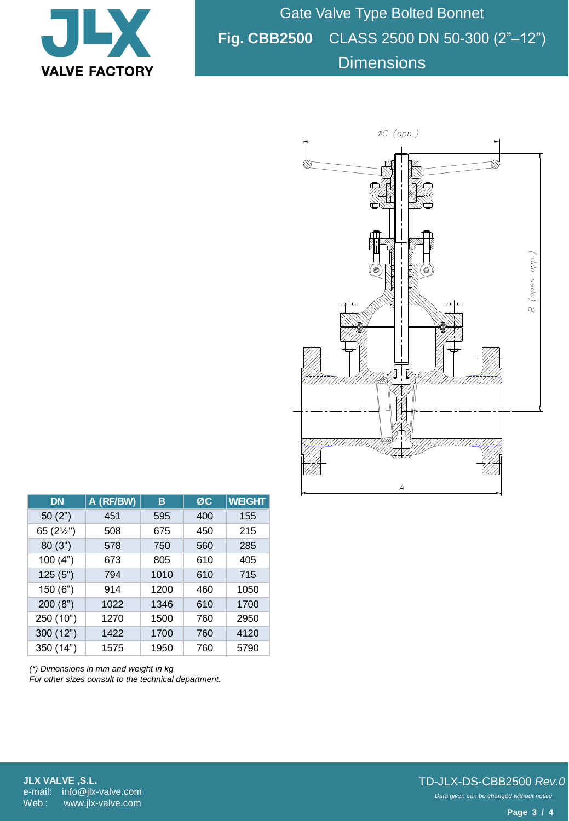

Gate Valve Type Bolted Bonnet **Fig. CBB2500** CLASS 2500 DN 50-300 (2"–12") **Dimensions** 



| <b>DN</b>  | A (RF/BW) | в    | ØC  | <b>WEIGHT</b> |
|------------|-----------|------|-----|---------------|
| 50(2")     | 451       | 595  | 400 | 155           |
| 65 (21/2") | 508       | 675  | 450 | 215           |
| 80(3")     | 578       | 750  | 560 | 285           |
| 100(4")    | 673       | 805  | 610 | 405           |
| 125(5")    | 794       | 1010 | 610 | 715           |
| 150(6")    | 914       | 1200 | 460 | 1050          |
| 200(8")    | 1022      | 1346 | 610 | 1700          |
| 250 (10")  | 1270      | 1500 | 760 | 2950          |
| 300 (12")  | 1422      | 1700 | 760 | 4120          |
| 350 (14")  | 1575      | 1950 | 760 | 5790          |

*(\*) Dimensions in mm and weight in kg For other sizes consult to the technical department.*

**JLX VALVE ,S.L.** e-mail: info@jlx-valve.com Web: www.jlx-valve.com